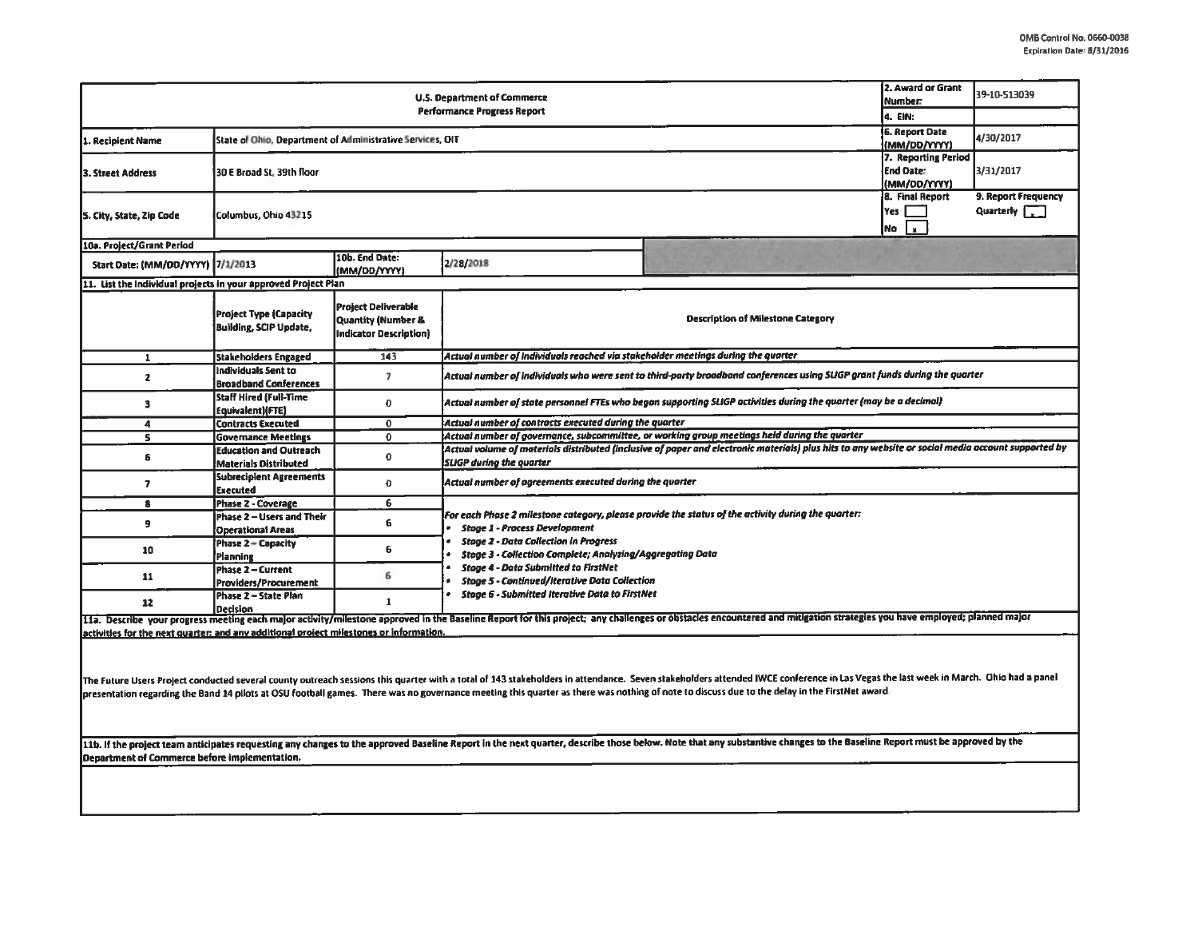| U.S. Department of Commerce<br><b>Performance Progress Report</b>                                                                                                                                                                                                                                                |                                                                                      |                                                                            |                                                                                                                                                                                                                                                                           |  | 12. Award or Grant<br>Number: | 39-10-513039                     |  |  |  |  |
|------------------------------------------------------------------------------------------------------------------------------------------------------------------------------------------------------------------------------------------------------------------------------------------------------------------|--------------------------------------------------------------------------------------|----------------------------------------------------------------------------|---------------------------------------------------------------------------------------------------------------------------------------------------------------------------------------------------------------------------------------------------------------------------|--|-------------------------------|----------------------------------|--|--|--|--|
|                                                                                                                                                                                                                                                                                                                  |                                                                                      |                                                                            |                                                                                                                                                                                                                                                                           |  | 4. EIN:                       |                                  |  |  |  |  |
| 1. Recipient Name                                                                                                                                                                                                                                                                                                | <b>6. Report Date</b><br>State of Ohio, Department of Administrative Services, OIT   |                                                                            |                                                                                                                                                                                                                                                                           |  |                               | 4/30/2017                        |  |  |  |  |
| 3. Street Address                                                                                                                                                                                                                                                                                                | 7. Reporting Period<br><b>End Date:</b><br>30 E Broad St, 39th floor<br>(MM/DD/YYYY) |                                                                            |                                                                                                                                                                                                                                                                           |  |                               | 3/31/2017<br>9. Report Frequency |  |  |  |  |
| 5. City, State, Zip Code                                                                                                                                                                                                                                                                                         | Columbus, Ohio 43215                                                                 | 8. Final Report<br>lYes Γ<br> No                                           |                                                                                                                                                                                                                                                                           |  |                               |                                  |  |  |  |  |
| 10a. Project/Grant Period                                                                                                                                                                                                                                                                                        |                                                                                      |                                                                            |                                                                                                                                                                                                                                                                           |  |                               |                                  |  |  |  |  |
| Start Date: (MM/DD/YYYY) 7/1/2013                                                                                                                                                                                                                                                                                |                                                                                      | 10b. End Date:<br>(MM/DD/YYYY)                                             | 2/28/2018                                                                                                                                                                                                                                                                 |  |                               |                                  |  |  |  |  |
| 11. List the Individual projects in your approved Project Plan                                                                                                                                                                                                                                                   |                                                                                      |                                                                            |                                                                                                                                                                                                                                                                           |  |                               |                                  |  |  |  |  |
|                                                                                                                                                                                                                                                                                                                  | <b>Project Type (Capacity</b><br><b>Building, SCIP Update,</b>                       | <b>Project Deliverable</b><br>Quantity (Number &<br>Indicator Description) | <b>Description of Milestone Category</b>                                                                                                                                                                                                                                  |  |                               |                                  |  |  |  |  |
| $\mathbf{1}$                                                                                                                                                                                                                                                                                                     | <b>Stakeholders Engaged</b>                                                          | 143                                                                        | Actual number of individuals reached via stakeholder meetings during the quarter                                                                                                                                                                                          |  |                               |                                  |  |  |  |  |
| z                                                                                                                                                                                                                                                                                                                | Individuals Sent to<br><b>Broadband Conferences</b>                                  | 7                                                                          | Actual number of individuals who were sent to third-party broadband conferences using SUGP grant funds during the quarter                                                                                                                                                 |  |                               |                                  |  |  |  |  |
| з                                                                                                                                                                                                                                                                                                                | <b>Staff Hired (Full-Time</b><br>Equivalent)(FTE)                                    | 0                                                                          | Actual number of state personnel FTEs who began supporting SLIGP activities during the quarter (may be a decimal)                                                                                                                                                         |  |                               |                                  |  |  |  |  |
| 4                                                                                                                                                                                                                                                                                                                | <b>Contracts Executed</b>                                                            | $\mathbf 0$                                                                | Actual number of contracts executed during the quarter                                                                                                                                                                                                                    |  |                               |                                  |  |  |  |  |
| $\overline{\mathbf{s}}$                                                                                                                                                                                                                                                                                          | <b>Governance Meetings</b>                                                           | 0                                                                          | Actual number of governance, subcommittee, or working group meetings held during the quarter                                                                                                                                                                              |  |                               |                                  |  |  |  |  |
| 6                                                                                                                                                                                                                                                                                                                | <b>Education and Outreach</b><br><b>Materials Distributed</b>                        | 0                                                                          | Actual volume of materials distributed (inclusive of paper and electronic materials) plus hits to any website or social media account supported by<br><b>SLIGP during the quarter</b>                                                                                     |  |                               |                                  |  |  |  |  |
| 7                                                                                                                                                                                                                                                                                                                | <b>Subrecipient Agreements</b><br>Executed                                           | O                                                                          | Actual number of agreements executed during the quarter                                                                                                                                                                                                                   |  |                               |                                  |  |  |  |  |
| 8                                                                                                                                                                                                                                                                                                                | Phase 2 - Coverage                                                                   | 6                                                                          |                                                                                                                                                                                                                                                                           |  |                               |                                  |  |  |  |  |
| 9                                                                                                                                                                                                                                                                                                                | Phase 2 - Users and Their<br><b>Operational Areas</b>                                | 6                                                                          | For each Phase 2 milestone category, please provide the status of the activity during the quarter:<br><b>Stage 1 - Process Development</b>                                                                                                                                |  |                               |                                  |  |  |  |  |
| 10                                                                                                                                                                                                                                                                                                               | Phase 2 - Capacity<br>Planning                                                       | 6                                                                          | <b>Stage 2 - Data Collection in Progress</b><br>Stage 3 - Collection Complete; Analyzing/Aggregating Data<br><b>Stage 4 - Data Submitted to FirstNet</b><br><b>Stage 5 - Continued/Iterative Data Collection</b><br><b>Stage 6 - Submitted Iterative Data to FirstNet</b> |  |                               |                                  |  |  |  |  |
| 11                                                                                                                                                                                                                                                                                                               | <b>Phase 2 - Current</b><br>Providers/Procurement                                    | 6                                                                          |                                                                                                                                                                                                                                                                           |  |                               |                                  |  |  |  |  |
| 12                                                                                                                                                                                                                                                                                                               | Phase 2 - State Plan<br><b>Decision</b>                                              | 1                                                                          |                                                                                                                                                                                                                                                                           |  |                               |                                  |  |  |  |  |
| 11a. Describe your progress meeting each major activity/milestone approved in the Baseline Report for this project; any challenges or obstacles encountered and mitigation strategies you have employed; planned major<br>activities for the next quarter: and any additional project milestones or information. |                                                                                      |                                                                            |                                                                                                                                                                                                                                                                           |  |                               |                                  |  |  |  |  |

The Future Users Project conducted several county outreach sessions this quarter with a total of 143 stakeholders in attendance. Seven stakeholders attended IWCE conference in Las Vegas the last week in March. Ohio had a p presentation regarding the Band 14 pilots at OSU football games. There was no governance meeting this quarter as there was nothing of note to discuss due to the delay in the FirstNet award

11b. If the project team anticipates requesting any changes to the approved Baseline Report in the next quarter, describe those below. Note that any substantive changes to the Baseline Report must be approved by the Department of Commerce before implementation.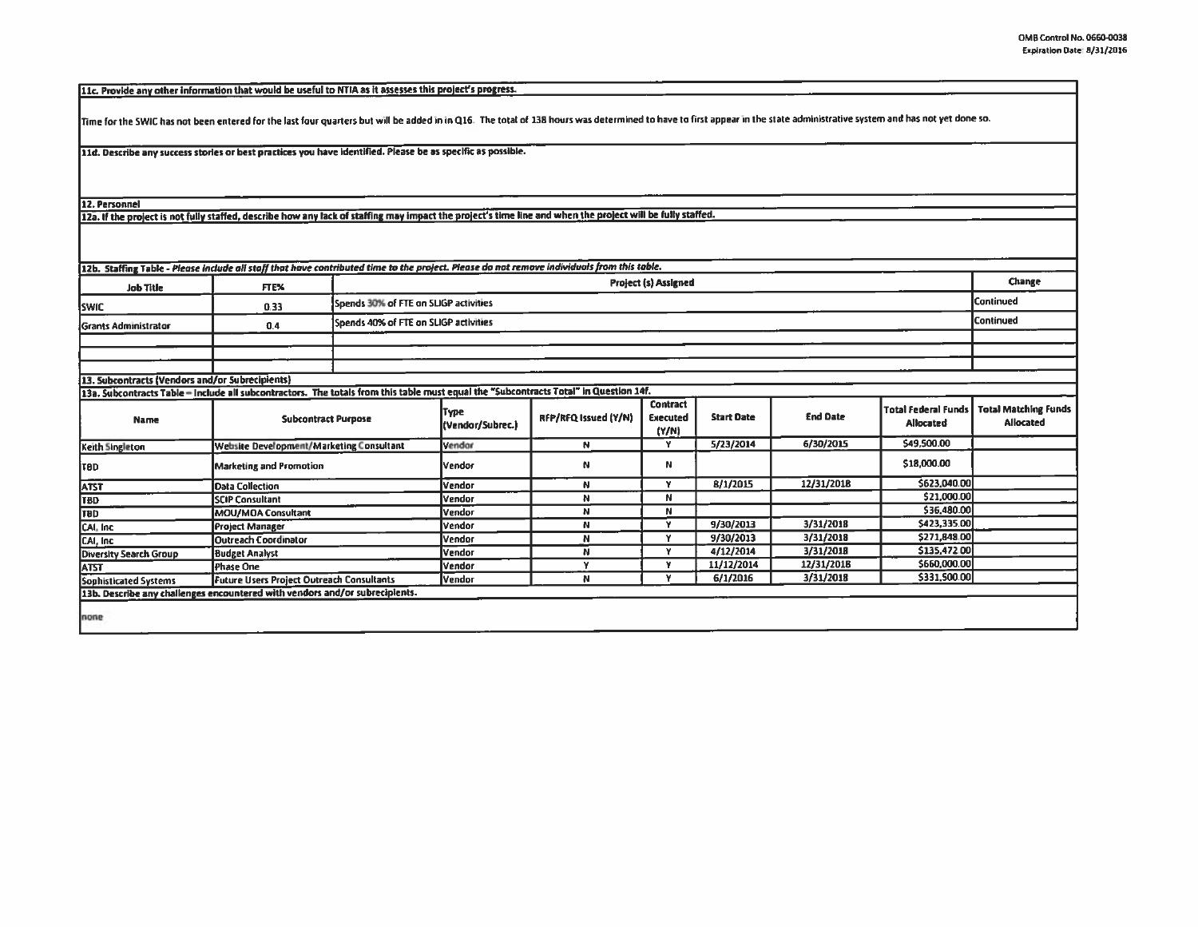[11c. Provide any other information that would be useful to NTIA as it assesses this project's progress.

Time for the SWIC has not been entered for the last four quarters but will be added in in Q16. The total of 138 hours was determined to have to first appear in the state administrative system and has not yet done so.

11d. Describe any success stories or best practices you have identified. Please be as specific as possible.

12. Personnel

12a. If the project is not fully staffed, describe how any lack of staffing may impact the project's time line and when the project will be fully staffed.

|                                                                                                                                       |      | [12b. Staffing Table - Please include all staff that have contributed time to the project. Please do not remove individuals from this table. |                 |  |                                                          |  |  |
|---------------------------------------------------------------------------------------------------------------------------------------|------|----------------------------------------------------------------------------------------------------------------------------------------------|-----------------|--|----------------------------------------------------------|--|--|
| <b>Job Title</b>                                                                                                                      | FTE% |                                                                                                                                              | Change          |  |                                                          |  |  |
| <b>Iswic</b>                                                                                                                          | 0.33 | Spends 30% of FTE on SLIGP activities                                                                                                        |                 |  | <b>Continued</b>                                         |  |  |
| lGrants Administrator                                                                                                                 | 0.4  | Spends 40% of FTE on SLIGP activities                                                                                                        |                 |  | <b>Continued</b>                                         |  |  |
|                                                                                                                                       |      |                                                                                                                                              |                 |  |                                                          |  |  |
|                                                                                                                                       |      |                                                                                                                                              |                 |  |                                                          |  |  |
|                                                                                                                                       |      |                                                                                                                                              |                 |  |                                                          |  |  |
| 13. Subcontracts (Vendors and/or Subrecipients)                                                                                       |      |                                                                                                                                              |                 |  |                                                          |  |  |
| 13a. Subcontracts Table - Include all subcontractors. The totals from this table must equal the "Subcontracts Total" in Question 14f. |      |                                                                                                                                              |                 |  |                                                          |  |  |
|                                                                                                                                       |      |                                                                                                                                              | <b>Contract</b> |  | har a chleasaic ach eachdar healaicheadachta a Pasailte. |  |  |

| Name                                                                        | <b>Subcontract Purpose</b>                | Түре<br>(Vendor/Subrec.) | RFP/RFQ Issued (Y/N) | Contract<br><b>Executed</b><br>(Y/N) | <b>Start Date</b> | <b>End Date</b> | l Total Federal Funds<br><b>Allocated</b> | Total Matching Funds<br>Allocated |
|-----------------------------------------------------------------------------|-------------------------------------------|--------------------------|----------------------|--------------------------------------|-------------------|-----------------|-------------------------------------------|-----------------------------------|
| Website Development/Marketing Consultant<br>Keith Singleton                 |                                           | Vendor                   | N                    |                                      | 5/23/2014         | 6/30/2015       | \$49,500.00                               |                                   |
| <b>Marketing and Promotion</b><br><b>ITBD</b>                               |                                           | <b>Vendor</b>            | N.                   | N                                    |                   |                 | \$18,000.00                               |                                   |
| <b>ATST</b>                                                                 | Data Collection                           | <b>Vendor</b>            | N                    |                                      | 8/1/2015          | 12/31/2018      | \$623,040.00                              |                                   |
| <b>TBD</b>                                                                  | <b>SCIP Consultant</b>                    | Vendor                   | N                    | N                                    |                   |                 | \$21,000.00                               |                                   |
| <b>TBD</b>                                                                  | <b>MOU/MOA Consultant</b>                 | <b>Vendor</b>            | N                    | N                                    |                   |                 | \$36,480.00                               |                                   |
| CAL Inc.                                                                    | <b>Project Manager</b>                    | <b>Vendor</b>            | N.                   |                                      | 9/30/2013         | 3/31/2018       | \$423,335.00                              |                                   |
| CAI, Inc.                                                                   | <b>Outreach Coordinator</b>               | Vendor                   | N                    |                                      | 9/30/2013         | 3/31/2018       | \$271,848.00                              |                                   |
| Diversity Search Group                                                      | <b>Budget Analyst</b>                     | Vendor                   | N                    |                                      | 4/12/2014         | 3/31/2018       | \$135,472.00                              |                                   |
| <b>ATST</b>                                                                 | <b>Phase One</b>                          | lVendor I                |                      |                                      | 11/12/2014        | 12/31/2018      | \$660,000,00                              |                                   |
| Sophisticated Systems                                                       | Future Users Project Outreach Consultants | <b>Vendor</b>            | N                    |                                      | 6/1/2016          | 3/31/2018       | \$331,500.00                              |                                   |
| 13b. Describe any challenges encountered with vendors and/or subrecipients. |                                           |                          |                      |                                      |                   |                 |                                           |                                   |
| none                                                                        |                                           |                          |                      |                                      |                   |                 |                                           |                                   |